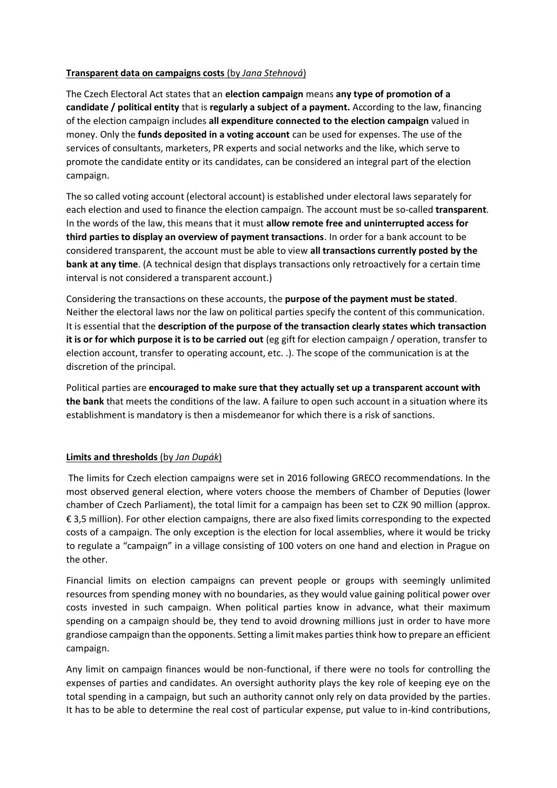## **Transparent data on campaigns costs** (by *Jana Stehnová*)

The Czech Electoral Act states that an **election campaign** means **any type of promotion of a candidate / political entity** that is **regularly a subject of a payment.** According to the law, financing of the election campaign includes **all expenditure connected to the election campaign** valued in money. Only the **funds deposited in a voting account** can be used for expenses. The use of the services of consultants, marketers, PR experts and social networks and the like, which serve to promote the candidate entity or its candidates, can be considered an integral part of the election campaign.

The so called voting account (electoral account) is established under electoral laws separately for each election and used to finance the election campaign. The account must be so-called **transparent**. In the words of the law, this means that it must **allow remote free and uninterrupted access for third parties to display an overview of payment transactions**. In order for a bank account to be considered transparent, the account must be able to view **all transactions currently posted by the bank at any time**. (A technical design that displays transactions only retroactively for a certain time interval is not considered a transparent account.)

Considering the transactions on these accounts, the **purpose of the payment must be stated**. Neither the electoral laws nor the law on political parties specify the content of this communication. It is essential that the **description of the purpose of the transaction clearly states which transaction it is or for which purpose it is to be carried out** (eg gift for election campaign / operation, transfer to election account, transfer to operating account, etc. .). The scope of the communication is at the discretion of the principal.

Political parties are **encouraged to make sure that they actually set up a transparent account with the bank** that meets the conditions of the law. A failure to open such account in a situation where its establishment is mandatory is then a misdemeanor for which there is a risk of sanctions.

## **Limits and thresholds** (by *Jan Dupák*)

The limits for Czech election campaigns were set in 2016 following GRECO recommendations. In the most observed general election, where voters choose the members of Chamber of Deputies (lower chamber of Czech Parliament), the total limit for a campaign has been set to CZK 90 million (approx. € 3,5 million). For other election campaigns, there are also fixed limits corresponding to the expected costs of a campaign. The only exception is the election for local assemblies, where it would be tricky to regulate a "campaign" in a village consisting of 100 voters on one hand and election in Prague on the other.

Financial limits on election campaigns can prevent people or groups with seemingly unlimited resources from spending money with no boundaries, as they would value gaining political power over costs invested in such campaign. When political parties know in advance, what their maximum spending on a campaign should be, they tend to avoid drowning millions just in order to have more grandiose campaign than the opponents. Setting a limit makes parties think how to prepare an efficient campaign.

Any limit on campaign finances would be non-functional, if there were no tools for controlling the expenses of parties and candidates. An oversight authority plays the key role of keeping eye on the total spending in a campaign, but such an authority cannot only rely on data provided by the parties. It has to be able to determine the real cost of particular expense, put value to in-kind contributions,